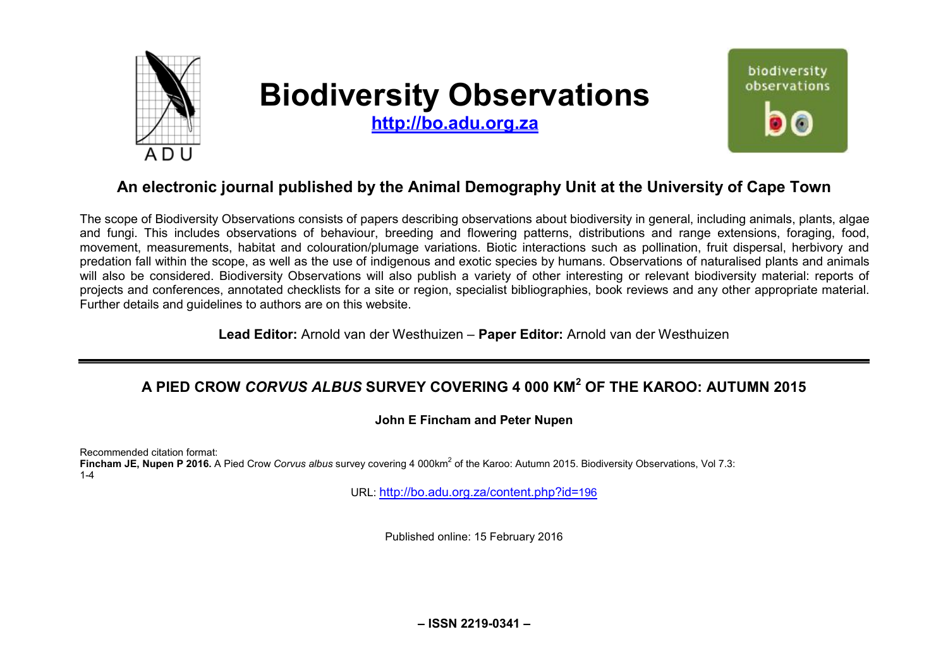

# **Biodiversity Observations**

**<http://bo.adu.org.za>** 



## **An electronic journal published by the Animal Demography Unit at the University of Cape Town**

The scope of Biodiversity Observations consists of papers describing observations about biodiversity in general, including animals, plants, algae and fungi. This includes observations of behaviour, breeding and flowering patterns, distributions and range extensions, foraging, food, movement, measurements, habitat and colouration/plumage variations. Biotic interactions such as pollination, fruit dispersal, herbivory and predation fall within the scope, as well as the use of indigenous and exotic species by humans. Observations of naturalised plants and animals will also be considered. Biodiversity Observations will also publish a variety of other interesting or relevant biodiversity material: reports of projects and conferences, annotated checklists for a site or region, specialist bibliographies, book reviews and any other appropriate material. Further details and guidelines to authors are on this website.

**Lead Editor:** Arnold van der Westhuizen – **Paper Editor:** Arnold van der Westhuizen

## **A PIED CROW** *CORVUS ALBUS* **SURVEY COVERING 4 000 KM<sup>2</sup> OF THE KAROO: AUTUMN 2015**

**John E Fincham and Peter Nupen** 

Recommended citation format:

Fincham JE, Nupen P 2016. A Pied Crow *Corvus albus* survey covering 4 000km<sup>2</sup> of the Karoo: Autumn 2015. Biodiversity Observations, Vol 7.3: 1-4

URL: <http://bo.adu.org.za/content.php?id=>196

Published online: 15 February 2016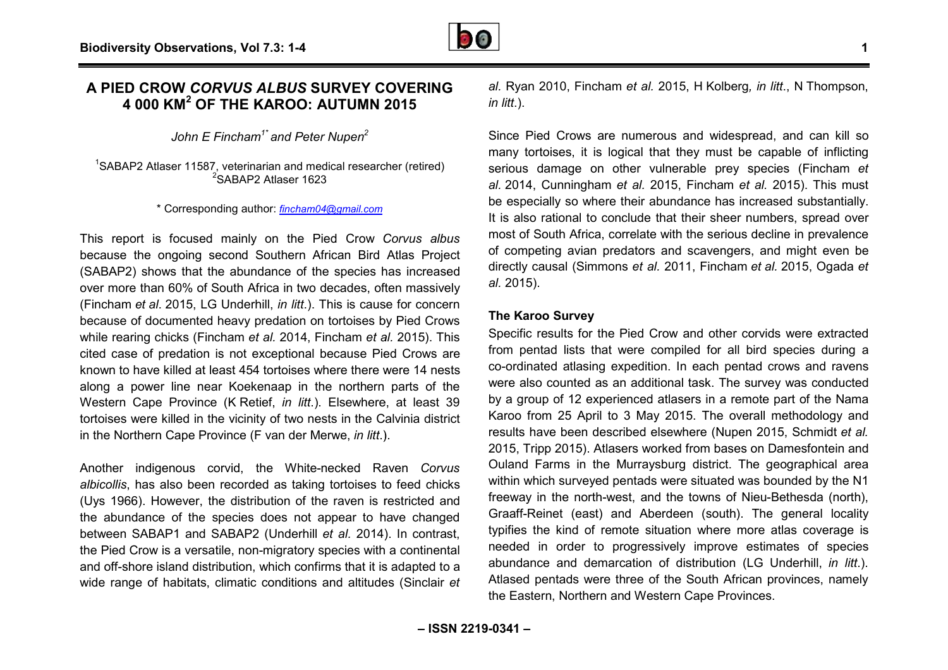### **A PIED CROW** *CORVUS ALBUS* **SURVEY COVERING 4 000 KM<sup>2</sup> OF THE KAROO: AUTUMN 2015**

*John E Fincham1\* and Peter Nupen<sup>2</sup>*

<sup>1</sup>SABAP2 Atlaser 11587, veterinarian and medical researcher (retired) <sup>2</sup>SABAP2 Atlaser 1623

\* Corresponding author: *[fincham04@gmail.com](mailto:fincham04@gmail.com)*

This report is focused mainly on the Pied Crow *Corvus albus Corvus* because the ongoing second Southern African Bird Atlas Project (SABAP2) shows that the abundance of the species has increased over more than 60% of South Africa in two decades, often massively (Fincham *et al*. 2015, LG Underhill, *in litt*.). This is cause for concern because of documented heavy predation on tortoises by Pied Crows while rearing chicks (Fincham *et al.* 2014, Fincham *et al.*  cited case of predation is not exceptional because Pied Crows are known to have killed at least 454 tortoises where there were 14 nests along a power line near Koekenaap in the northern parts of the Western Cape Province (K Retief, *in litt*.). Elsewhere, at least 39 tortoises were killed in the vicinity of two nests in the Calvinia district in the Northern Cape Province (F van der Merwe, *in litt*.). because the ongoing second Southern African Bird Atlas Project (SABAP2) shows that the abundance of the species has increased over more than 60% of South Africa in two decades, often massively (Fincham *et al.* 2015, LG Un

Another indigenous corvid, the White-necked Raven Corvus albicollis, has also been recorded as taking tortoises to feed chicks (Uys 1966). However, the distribution of the raven is restricted and the abundance of the species does not appear to have changed between SABAP1 and SABAP2 (Underhill *et al.* 2014). In contrast, the Pied Crow is a versatile, non-migratory species with a continental and off-shore island distribution, which confirms that it is adapted to a wide range of habitats, climatic conditions and altitudes (Sinclair et

*al.* Ryan 2010, Fincham *et al.* 2015, H Kolberg*, in litt* ., N Thompson, *in litt*.).

Since Pied Crows are numerous and widespread, and can kill so many tortoises, it is logical that they must be capable of inflicting serious damage on other vulnerable prey species (Fincham et *al.* 2014, Cunningham *et al.* 2015, Fincham *et al.* 2015). This must be especially so where their abundance has increased substantially. It is also rational to conclude that their sheer numbers, spread over most of South Africa, correlate with the serious decline in prevalence<br>of competing avian predators and scavengers, and might even be of competing avian predators and scavengers, and might even be directly causal (Simmons *et al.* 2011, Fincham *et al.* 2015, Ogada *et al.* 2015).

#### **The Karoo Survey**

Specific results for the Pied Crow and other corvids were extracted from pentad lists that were compiled for all bird species during a co-ordinated atlasing expedition. In each pentad crows and ravens were also counted as an additional task. The survey was conducted by a group of 12 experienced atlasers in a remote part of the Nama Karoo from 25 April to 3 May 2015. The overall methodology and Karoo from 25 April to 3 May 2015. The overall methodology and<br>results have been described elsewhere (Nupen 2015, Schmidt *et al.* 2015, Tripp 2015). Atlasers worked from bases on Damesfontein and Ouland Farms in the Murraysburg district. The geographical area within which surveyed pentads were situated was bounded by the N1 freeway in the north-west, and the towns of Nieu-Bethesda (north), Graaff-Reinet (east) and Aberdeen (south). The general locality typifies the kind of remote situation where more atlas coverage is needed in order to progressively improve estimates of species needed in order to progressively improve estimates of species<br>abundance and demarcation of distribution (LG Underhill, *in litt*.). Atlased pentads were three of the South African provinces, namely the Eastern, Northern and Western Cape Provinces. Northern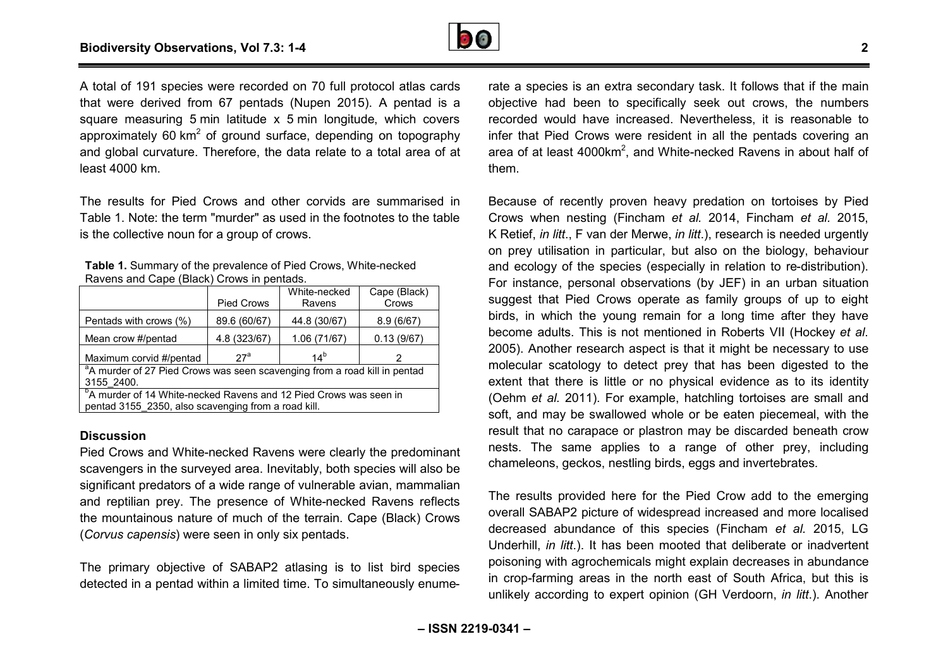

A total of 191 species were recorded on 70 full protocol atlas cards that were derived from 67 pentads (Nupen 2015). A pentad is a square measuring 5 min latitude x 5 min longitude, which covers approximately 60 km<sup>2</sup> of ground surface, depending on topography and global curvature. Therefore, the data relate to a total area of at least 4000 km.

The results for Pied Crows and other corvids are summarised in Table 1. Note: the term "murder" as used in the footnotes to the table is the collective noun for a group of crows.

| Table 1. Summary of the prevalence of Pied Crows, White-necked |
|----------------------------------------------------------------|
| Ravens and Cape (Black) Crows in pentads.                      |

|                                                                                       | <b>Pied Crows</b> | White-necked<br>Ravens | Cape (Black)<br>Crows |  |  |
|---------------------------------------------------------------------------------------|-------------------|------------------------|-----------------------|--|--|
| Pentads with crows (%)                                                                | 89.6 (60/67)      | 44.8 (30/67)           | 8.9(6/67)             |  |  |
| Mean crow #/pentad                                                                    | 4.8 (323/67)      | 1.06 (71/67)           | 0.13(9/67)            |  |  |
| Maximum corvid #/pentad                                                               | $27^a$            | 14 <sup>b</sup>        | 2                     |  |  |
| <sup>a</sup> A murder of 27 Pied Crows was seen scavenging from a road kill in pentad |                   |                        |                       |  |  |
| 3155 2400.                                                                            |                   |                        |                       |  |  |
| <sup>b</sup> A murder of 14 White-necked Ravens and 12 Pied Crows was seen in         |                   |                        |                       |  |  |
| pentad 3155 2350, also scavenging from a road kill.                                   |                   |                        |                       |  |  |

#### **Discussion**

Pied Crows and White-necked Ravens were clearly the predominant scavengers in the surveyed area. Inevitably, both species will also be significant predators of a wide range of vulnerable avian, mammalian and reptilian prey. The presence of White-necked Ravens reflects the mountainous nature of much of the terrain. Cape (Black) Crows (*Corvus capensis*) were seen in only six pentads. /hite-necked Ravens were clearly the predominant<br>surveyed area. Inevitably, both species will also be<br>rs of a wide range of vulnerable avian, mammalian<br>. The presence of White-necked Ravens reflects<br>nature of much of the t

The primary objective of SABAP2 atlasing is to list bird species detected in a pentad within a limited time. To simultaneously enume rate a species is an extra secondary task. It follows that if the main objective had been to specifically seek out crows, the numbers recorded would have increased. Nevertheless, it is reasonable to infer that Pied Crows were resident in all the pentads covering an area of at least 4000km<sup>2</sup>, and White-necked Ravens in about half of them.

Because of recently proven heavy predation on tortoises by Pied Crows when nesting (Fincham *et al.* 2014, Fincham *et al.* 2015, K Retief, *in litt*., F van der Merwe, *in litt*.), research is needed urgently on prey utilisation in particular, but also on the biology, behaviour and ecology of the species (especially in relation to re-distribution). For instance, personal observations (by JEF) in an urban situation suggest that Pied Crows operate as family groups of up to eight birds, in which the young remain for a long time after they have become adults. This is not mentioned in Roberts VII (Hockey *et al*. 2005). Another research aspect is that it might be necessary to use molecular scatology to detect prey that has been digested to the extent that there is little or no physical evidence as to its identity (Oehm *et al.* 2011). For example, hatchling tortoises are small and soft, and may be swallowed whole or be eaten piecemeal, with the result that no carapace or plastron may be discarded beneath crow nests. The same applies to a range of other prey, including chameleons, geckos, nestling birds, eggs and invertebrates. rey that<br>physical<br>e, hatch<br>ole or be<br>on may<br>a range<br>ds, eggs<br>ne Pied<br>pread in

The results provided here for the Pied Crow add to the emerging overall SABAP2 picture of widespread increased and more localised decreased abundance of this species (Fincham *et al.* 2015, LG Underhill, *in litt*.). It has been mooted that deliberate or inadvertent .poisoning with agrochemicals might explain decreases in abundance in crop-farming areas in the north east of South Africa, but this is unlikely according to expert opinion (GH Verdoorn, *in litt*.). Another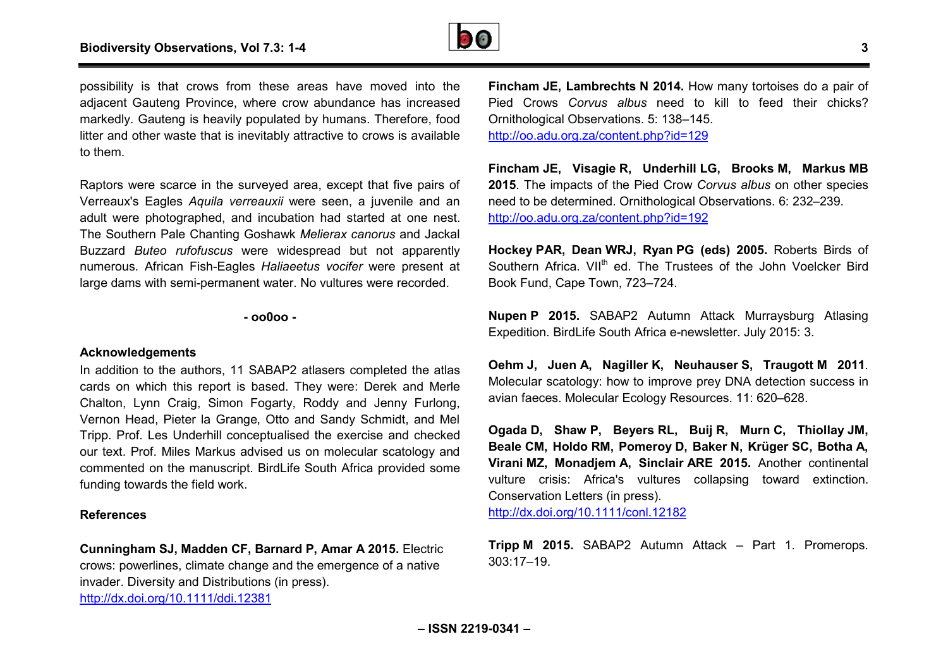

possibility is that crows from these areas have moved into the adjacent Gauteng Province, where crow abundance has increased markedly. Gauteng is heavily populated by humans. Therefore, food litter and other waste that is inevitably attractive to crows is available to them. eng is heavily populated by humans<br>waste that is inevitably attractive to<br>carce in the surveyed area, except

Raptors were scarce in the surveyed area, except that five pairs of Verreaux's Eagles *Aquila verreauxii* were seen, a juvenile and an adult were photographed, and incubation had started at one nest. The Southern Pale Chanting Goshawk *Melierax canorus* and Jackal Buzzard *Buteo rufofuscus* were widespread but not apparently numerous. African Fish-Eagles *Haliaeetus vocifer* were present at large dams with semi-permanent water. No vultures were recorded.

**- oo0oo -** 

#### **Acknowledgements**

In addition to the authors, 11 SABAP2 atlasers completed the atlas cards on which this report is based. They were: Derek and Merle Chalton, Lynn Craig, Simon Fogarty, Roddy and Jenny Furlong, Vernon Head, Pieter la Grange, Otto and Sandy Schmidt, Tripp. Prof. Les Underhill conceptualised the exercise and checked Tripp. Prof. Les Underhill conceptualised the exercise and checked<br>our text. Prof. Miles Markus advised us on molecular scatology and commented on the manuscript. BirdLife South Africa provided some funding towards the field work. permanent water. No vultures were recorded.<br>
- **oo0oo** -<br>
hors, 11 SABAP2 atlasers completed the atlas<br>
report is based. They were: Derek and Merle<br>
Simon Fogarty, Roddy and Jenny Furlong,<br>
la Grange, Otto and Sandy Schmid

#### **References**

**Cunningham SJ, Madden CF, Barnard P, Amar A 2015.** Electric crows: powerlines, climate change and the emergence of a native invader. Diversity and Distributions (in press).

<http://dx.doi.org/10.1111/ddi.12381>

**Fincham JE, Lambrechts N 2014.** How many tortoises do a pair of Pied Crows *Corvus albus* need to kill to feed their chicks? Ornithological Observations. 5: 138–145. <http://oo.adu.org.za/content.php?id=129>

**Fincham JE, Visagie R, Underhill LG, Brooks M, Markus MB 2015**. The impacts of the Pied Crow *Corvus albus* on other species need to be determined. Ornithological Observations. 6: 232 232–239. <http://oo.adu.org.za/content.php?id=192>

**Hockey PAR, Dean WRJ, Ryan PG (eds) 2005.** Roberts Birds of Southern Africa. VII<sup>th</sup> ed. The Trustees of the John Voelcker Bird Book Fund, Cape Town, 723–724.

**Nupen P 2015.** SABAP2 Autumn Attack Murraysburg Atlasing Expedition. BirdLife South Africa e-newsletter. July 2015: 3.

**Oehm J, Juen A, Nagiller K, Neuhauser S, Traugott Traugott M 2011**. Molecular scatology: how to improve prey DNA detection success in avian faeces. Molecular Ecology Resources. 11: 620 620–628.

**Ogada D, Shaw P, Beyers RL, Buij R, Murn C, Thiollay JM, Beale CM, Holdo RM, Pomeroy D, Baker N, Krüger SC, Botha A, Virani MZ, Monadjem A, Sinclair ARE 2015.** Another continental vulture crisis: Africa's vultures collapsing toward extinction. Conservation Letters (in press). <http://dx.doi.org/10.1111/conl.12182>

**Tripp M 2015.** SABAP2 Autumn Attack – Part 1. Promerops. 303:17–19.